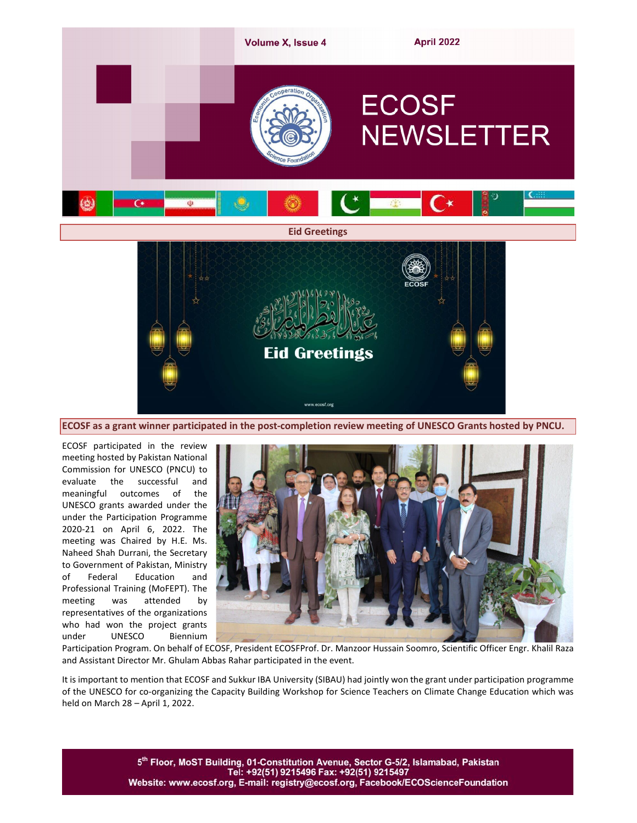

ECOSF as a grant winner participated in the post-completion review meeting of UNESCO Grants hosted by PNCU.

ECOSF participated in the review meeting hosted by Pakistan National Commission for UNESCO (PNCU) to evaluate the successful and meaningful outcomes of the UNESCO grants awarded under the under the Participation Programme 2020-21 on April 6, 2022. The meeting was Chaired by H.E. Ms. Naheed Shah Durrani, the Secretary to Government of Pakistan, Ministry of Federal Education and Professional Training (MoFEPT). The meeting was attended by representatives of the organizations who had won the project grants under UNESCO Biennium



Participation Program. On behalf of ECOSF, President ECOSFProf. Dr. Manzoor Hussain Soomro, Scientific Officer Engr. Khalil Raza and Assistant Director Mr. Ghulam Abbas Rahar participated in the event.

It is important to mention that ECOSF and Sukkur IBA University (SIBAU) had jointly won the grant under participation programme of the UNESCO for co-organizing the Capacity Building Workshop for Science Teachers on Climate Change Education which was held on March 28 – April 1, 2022.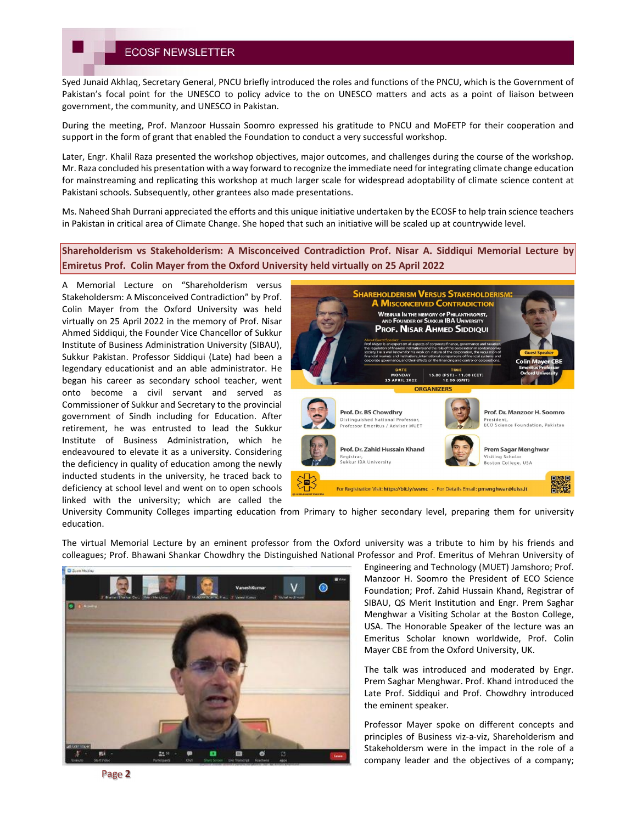## **ECOSF NEWSLETTER**

Syed Junaid Akhlaq, Secretary General, PNCU briefly introduced the roles and functions of the PNCU, which is the Government of Pakistan's focal point for the UNESCO to policy advice to the on UNESCO matters and acts as a point of liaison between government, the community, and UNESCO in Pakistan.

During the meeting, Prof. Manzoor Hussain Soomro expressed his gratitude to PNCU and MoFETP for their cooperation and support in the form of grant that enabled the Foundation to conduct a very successful workshop.

Later, Engr. Khalil Raza presented the workshop objectives, major outcomes, and challenges during the course of the workshop. Mr. Raza concluded his presentation with a way forward to recognize the immediate need for integrating climate change education for mainstreaming and replicating this workshop at much larger scale for widespread adoptability of climate science content at Pakistani schools. Subsequently, other grantees also made presentations.

Ms. Naheed Shah Durrani appreciated the efforts and this unique initiative undertaken by the ECOSF to help train science teachers in Pakistan in critical area of Climate Change. She hoped that such an initiative will be scaled up at countrywide level.

Shareholderism vs Stakeholderism: A Misconceived Contradiction Prof. Nisar A. Siddiqui Memorial Lecture by Emiretus Prof. Colin Mayer from the Oxford University held virtually on 25 April 2022

A Memorial Lecture on "Shareholderism versus Stakeholdersm: A Misconceived Contradiction" by Prof. Colin Mayer from the Oxford University was held virtually on 25 April 2022 in the memory of Prof. Nisar Ahmed Siddiqui, the Founder Vice Chancellor of Sukkur Institute of Business Administration University (SIBAU), Sukkur Pakistan. Professor Siddiqui (Late) had been a legendary educationist and an able administrator. He began his career as secondary school teacher, went onto become a civil servant and served as Commissioner of Sukkur and Secretary to the provincial government of Sindh including for Education. After retirement, he was entrusted to lead the Sukkur Institute of Business Administration, which he endeavoured to elevate it as a university. Considering the deficiency in quality of education among the newly inducted students in the university, he traced back to deficiency at school level and went on to open schools linked with the university; which are called the



University Community Colleges imparting education from Primary to higher secondary level, preparing them for university education.

The virtual Memorial Lecture by an eminent professor from the Oxford university was a tribute to him by his friends and colleagues; Prof. Bhawani Shankar Chowdhry the Distinguished National Professor and Prof. Emeritus of Mehran University of



Engineering and Technology (MUET) Jamshoro; Prof. Manzoor H. Soomro the President of ECO Science Foundation; Prof. Zahid Hussain Khand, Registrar of SIBAU, QS Merit Institution and Engr. Prem Saghar Menghwar a Visiting Scholar at the Boston College, USA. The Honorable Speaker of the lecture was an Emeritus Scholar known worldwide, Prof. Colin Mayer CBE from the Oxford University, UK.

The talk was introduced and moderated by Engr. Prem Saghar Menghwar. Prof. Khand introduced the Late Prof. Siddiqui and Prof. Chowdhry introduced the eminent speaker.

Professor Mayer spoke on different concepts and principles of Business viz-a-viz, Shareholderism and Stakeholdersm were in the impact in the role of a company leader and the objectives of a company;

Page 2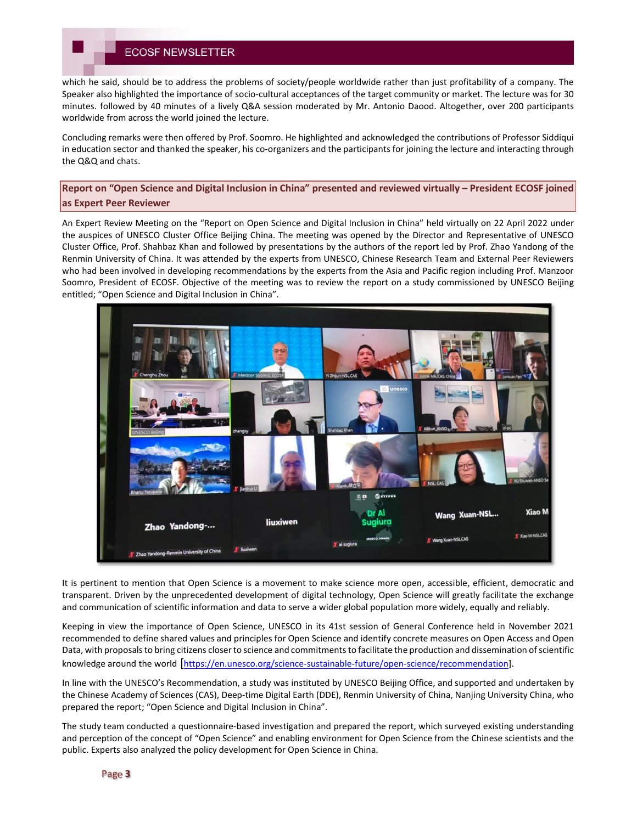# **ECOSF NEWSLETTER**

which he said, should be to address the problems of society/people worldwide rather than just profitability of a company. The Speaker also highlighted the importance of socio-cultural acceptances of the target community or market. The lecture was for 30 minutes. followed by 40 minutes of a lively Q&A session moderated by Mr. Antonio Daood. Altogether, over 200 participants worldwide from across the world joined the lecture.

Concluding remarks were then offered by Prof. Soomro. He highlighted and acknowledged the contributions of Professor Siddiqui in education sector and thanked the speaker, his co-organizers and the participants for joining the lecture and interacting through the Q&Q and chats.

Report on "Open Science and Digital Inclusion in China" presented and reviewed virtually – President ECOSF joined as Expert Peer Reviewer

An Expert Review Meeting on the "Report on Open Science and Digital Inclusion in China" held virtually on 22 April 2022 under the auspices of UNESCO Cluster Office Beijing China. The meeting was opened by the Director and Representative of UNESCO Cluster Office, Prof. Shahbaz Khan and followed by presentations by the authors of the report led by Prof. Zhao Yandong of the Renmin University of China. It was attended by the experts from UNESCO, Chinese Research Team and External Peer Reviewers who had been involved in developing recommendations by the experts from the Asia and Pacific region including Prof. Manzoor Soomro, President of ECOSF. Objective of the meeting was to review the report on a study commissioned by UNESCO Beijing entitled; "Open Science and Digital Inclusion in China".



It is pertinent to mention that Open Science is a movement to make science more open, accessible, efficient, democratic and transparent. Driven by the unprecedented development of digital technology, Open Science will greatly facilitate the exchange and communication of scientific information and data to serve a wider global population more widely, equally and reliably.

Keeping in view the importance of Open Science, UNESCO in its 41st session of General Conference held in November 2021 recommended to define shared values and principles for Open Science and identify concrete measures on Open Access and Open Data, with proposals to bring citizens closer to science and commitments to facilitate the production and dissemination of scientific knowledge around the world [https://en.unesco.org/science-sustainable-future/open-science/recommendation].

In line with the UNESCO's Recommendation, a study was instituted by UNESCO Beijing Office, and supported and undertaken by the Chinese Academy of Sciences (CAS), Deep-time Digital Earth (DDE), Renmin University of China, Nanjing University China, who prepared the report; "Open Science and Digital Inclusion in China".

The study team conducted a questionnaire-based investigation and prepared the report, which surveyed existing understanding and perception of the concept of "Open Science" and enabling environment for Open Science from the Chinese scientists and the public. Experts also analyzed the policy development for Open Science in China.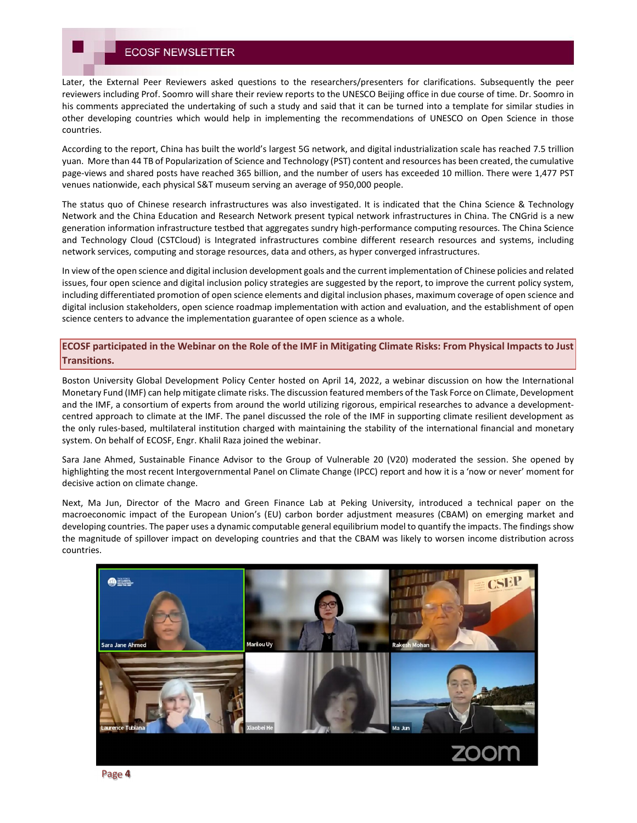Later, the External Peer Reviewers asked questions to the researchers/presenters for clarifications. Subsequently the peer reviewers including Prof. Soomro will share their review reports to the UNESCO Beijing office in due course of time. Dr. Soomro in his comments appreciated the undertaking of such a study and said that it can be turned into a template for similar studies in other developing countries which would help in implementing the recommendations of UNESCO on Open Science in those countries.

According to the report, China has built the world's largest 5G network, and digital industrialization scale has reached 7.5 trillion yuan. More than 44 TB of Popularization of Science and Technology (PST) content and resources has been created, the cumulative page-views and shared posts have reached 365 billion, and the number of users has exceeded 10 million. There were 1,477 PST venues nationwide, each physical S&T museum serving an average of 950,000 people.

The status quo of Chinese research infrastructures was also investigated. It is indicated that the China Science & Technology Network and the China Education and Research Network present typical network infrastructures in China. The CNGrid is a new generation information infrastructure testbed that aggregates sundry high-performance computing resources. The China Science and Technology Cloud (CSTCloud) is Integrated infrastructures combine different research resources and systems, including network services, computing and storage resources, data and others, as hyper converged infrastructures.

In view of the open science and digital inclusion development goals and the current implementation of Chinese policies and related issues, four open science and digital inclusion policy strategies are suggested by the report, to improve the current policy system, including differentiated promotion of open science elements and digital inclusion phases, maximum coverage of open science and digital inclusion stakeholders, open science roadmap implementation with action and evaluation, and the establishment of open science centers to advance the implementation guarantee of open science as a whole.

ECOSF participated in the Webinar on the Role of the IMF in Mitigating Climate Risks: From Physical Impacts to Just Transitions.

Boston University Global Development Policy Center hosted on April 14, 2022, a webinar discussion on how the International Monetary Fund (IMF) can help mitigate climate risks. The discussion featured members of the Task Force on Climate, Development and the IMF, a consortium of experts from around the world utilizing rigorous, empirical researches to advance a developmentcentred approach to climate at the IMF. The panel discussed the role of the IMF in supporting climate resilient development as the only rules-based, multilateral institution charged with maintaining the stability of the international financial and monetary system. On behalf of ECOSF, Engr. Khalil Raza joined the webinar.

Sara Jane Ahmed, Sustainable Finance Advisor to the Group of Vulnerable 20 (V20) moderated the session. She opened by highlighting the most recent Intergovernmental Panel on Climate Change (IPCC) report and how it is a 'now or never' moment for decisive action on climate change.

Next, Ma Jun, Director of the Macro and Green Finance Lab at Peking University, introduced a technical paper on the macroeconomic impact of the European Union's (EU) carbon border adjustment measures (CBAM) on emerging market and developing countries. The paper uses a dynamic computable general equilibrium model to quantify the impacts. The findings show the magnitude of spillover impact on developing countries and that the CBAM was likely to worsen income distribution across countries.



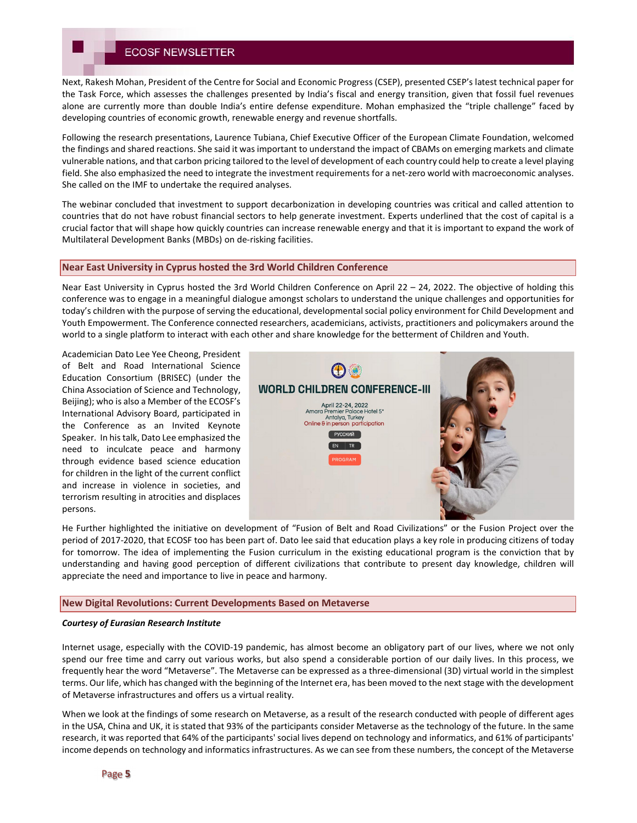# **ECOSF NEWSLETTER**

Next, Rakesh Mohan, President of the Centre for Social and Economic Progress (CSEP), presented CSEP's latest technical paper for the Task Force, which assesses the challenges presented by India's fiscal and energy transition, given that fossil fuel revenues alone are currently more than double India's entire defense expenditure. Mohan emphasized the "triple challenge" faced by developing countries of economic growth, renewable energy and revenue shortfalls.

Following the research presentations, Laurence Tubiana, Chief Executive Officer of the European Climate Foundation, welcomed the findings and shared reactions. She said it was important to understand the impact of CBAMs on emerging markets and climate vulnerable nations, and that carbon pricing tailored to the level of development of each country could help to create a level playing field. She also emphasized the need to integrate the investment requirements for a net-zero world with macroeconomic analyses. She called on the IMF to undertake the required analyses.

The webinar concluded that investment to support decarbonization in developing countries was critical and called attention to countries that do not have robust financial sectors to help generate investment. Experts underlined that the cost of capital is a crucial factor that will shape how quickly countries can increase renewable energy and that it is important to expand the work of Multilateral Development Banks (MBDs) on de-risking facilities.

## Near East University in Cyprus hosted the 3rd World Children Conference

Near East University in Cyprus hosted the 3rd World Children Conference on April 22 – 24, 2022. The objective of holding this conference was to engage in a meaningful dialogue amongst scholars to understand the unique challenges and opportunities for today's children with the purpose of serving the educational, developmental social policy environment for Child Development and Youth Empowerment. The Conference connected researchers, academicians, activists, practitioners and policymakers around the world to a single platform to interact with each other and share knowledge for the betterment of Children and Youth.

Academician Dato Lee Yee Cheong, President of Belt and Road International Science Education Consortium (BRISEC) (under the China Association of Science and Technology, Beijing); who is also a Member of the ECOSF's International Advisory Board, participated in the Conference as an Invited Keynote Speaker. In his talk, Dato Lee emphasized the need to inculcate peace and harmony through evidence based science education for children in the light of the current conflict and increase in violence in societies, and terrorism resulting in atrocities and displaces persons.



He Further highlighted the initiative on development of "Fusion of Belt and Road Civilizations" or the Fusion Project over the period of 2017-2020, that ECOSF too has been part of. Dato lee said that education plays a key role in producing citizens of today for tomorrow. The idea of implementing the Fusion curriculum in the existing educational program is the conviction that by understanding and having good perception of different civilizations that contribute to present day knowledge, children will appreciate the need and importance to live in peace and harmony.

#### New Digital Revolutions: Current Developments Based on Metaverse

## *Courtesy of Eurasian Research Institute*

Internet usage, especially with the COVID-19 pandemic, has almost become an obligatory part of our lives, where we not only spend our free time and carry out various works, but also spend a considerable portion of our daily lives. In this process, we frequently hear the word "Metaverse". The Metaverse can be expressed as a three-dimensional (3D) virtual world in the simplest terms. Our life, which has changed with the beginning of the Internet era, has been moved to the next stage with the development of Metaverse infrastructures and offers us a virtual reality.

When we look at the findings of some research on Metaverse, as a result of the research conducted with people of different ages in the USA, China and UK, it is stated that 93% of the participants consider Metaverse as the technology of the future. In the same research, it was reported that 64% of the participants' social lives depend on technology and informatics, and 61% of participants' income depends on technology and informatics infrastructures. As we can see from these numbers, the concept of the Metaverse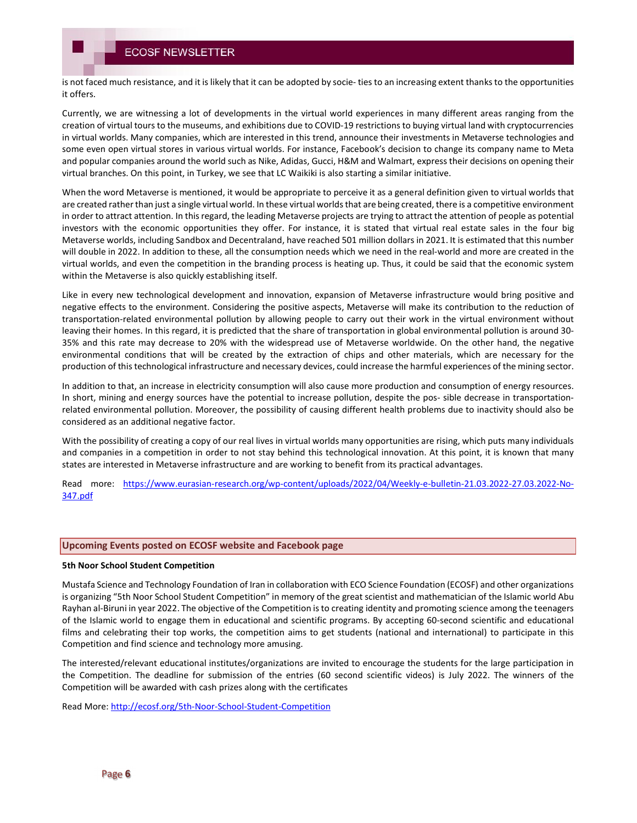is not faced much resistance, and it is likely that it can be adopted by socie- ties to an increasing extent thanks to the opportunities it offers.

Currently, we are witnessing a lot of developments in the virtual world experiences in many different areas ranging from the creation of virtual tours to the museums, and exhibitions due to COVID-19 restrictions to buying virtual land with cryptocurrencies in virtual worlds. Many companies, which are interested in this trend, announce their investments in Metaverse technologies and some even open virtual stores in various virtual worlds. For instance, Facebook's decision to change its company name to Meta and popular companies around the world such as Nike, Adidas, Gucci, H&M and Walmart, express their decisions on opening their virtual branches. On this point, in Turkey, we see that LC Waikiki is also starting a similar initiative.

When the word Metaverse is mentioned, it would be appropriate to perceive it as a general definition given to virtual worlds that are created rather than just a single virtual world. In these virtual worlds that are being created, there is a competitive environment in order to attract attention. In this regard, the leading Metaverse projects are trying to attract the attention of people as potential investors with the economic opportunities they offer. For instance, it is stated that virtual real estate sales in the four big Metaverse worlds, including Sandbox and Decentraland, have reached 501 million dollars in 2021. It is estimated that this number will double in 2022. In addition to these, all the consumption needs which we need in the real-world and more are created in the virtual worlds, and even the competition in the branding process is heating up. Thus, it could be said that the economic system within the Metaverse is also quickly establishing itself.

Like in every new technological development and innovation, expansion of Metaverse infrastructure would bring positive and negative effects to the environment. Considering the positive aspects, Metaverse will make its contribution to the reduction of transportation-related environmental pollution by allowing people to carry out their work in the virtual environment without leaving their homes. In this regard, it is predicted that the share of transportation in global environmental pollution is around 30- 35% and this rate may decrease to 20% with the widespread use of Metaverse worldwide. On the other hand, the negative environmental conditions that will be created by the extraction of chips and other materials, which are necessary for the production of this technological infrastructure and necessary devices, could increase the harmful experiences of the mining sector.

In addition to that, an increase in electricity consumption will also cause more production and consumption of energy resources. In short, mining and energy sources have the potential to increase pollution, despite the pos- sible decrease in transportationrelated environmental pollution. Moreover, the possibility of causing different health problems due to inactivity should also be considered as an additional negative factor.

With the possibility of creating a copy of our real lives in virtual worlds many opportunities are rising, which puts many individuals and companies in a competition in order to not stay behind this technological innovation. At this point, it is known that many states are interested in Metaverse infrastructure and are working to benefit from its practical advantages.

Read more: https://www.eurasian-research.org/wp-content/uploads/2022/04/Weekly-e-bulletin-21.03.2022-27.03.2022-No-347.pdf

## Upcoming Events posted on ECOSF website and Facebook page

## 5th Noor School Student Competition

Mustafa Science and Technology Foundation of Iran in collaboration with ECO Science Foundation (ECOSF) and other organizations is organizing "5th Noor School Student Competition" in memory of the great scientist and mathematician of the Islamic world Abu Rayhan al-Biruni in year 2022. The objective of the Competition is to creating identity and promoting science among the teenagers of the Islamic world to engage them in educational and scientific programs. By accepting 60-second scientific and educational films and celebrating their top works, the competition aims to get students (national and international) to participate in this Competition and find science and technology more amusing.

The interested/relevant educational institutes/organizations are invited to encourage the students for the large participation in the Competition. The deadline for submission of the entries (60 second scientific videos) is July 2022. The winners of the Competition will be awarded with cash prizes along with the certificates

Read More: http://ecosf.org/5th-Noor-School-Student-Competition